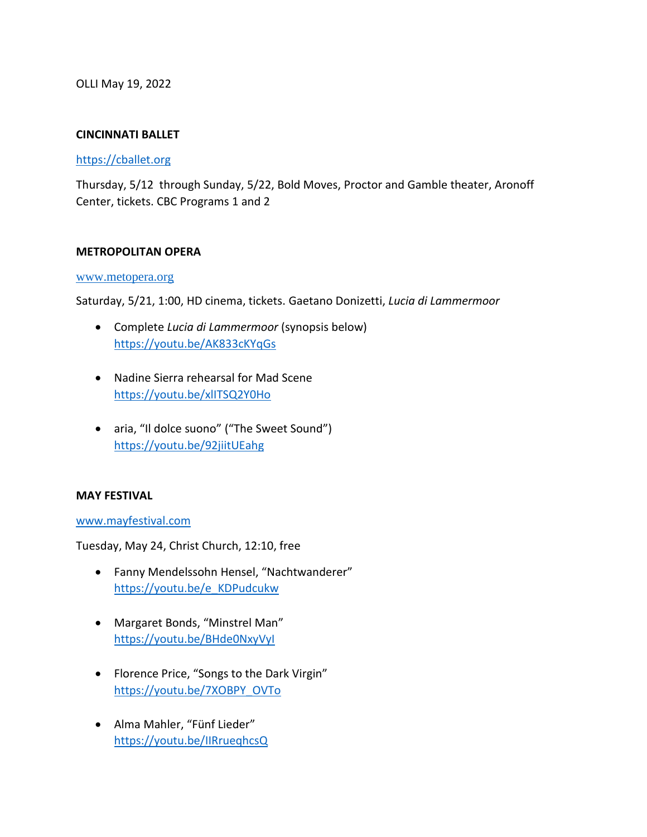OLLI May 19, 2022

## **CINCINNATI BALLET**

#### [https://cballet.org](https://cballet.org/)

Thursday, 5/12 through Sunday, 5/22, Bold Moves, Proctor and Gamble theater, Aronoff Center, tickets. CBC Programs 1 and 2

### **METROPOLITAN OPERA**

#### [www.metopera.org](http://www.metopera.org/)

Saturday, 5/21, 1:00, HD cinema, tickets. Gaetano Donizetti, *Lucia di Lammermoor*

- Complete *Lucia di Lammermoor* (synopsis below) <https://youtu.be/AK833cKYqGs>
- Nadine Sierra rehearsal for Mad Scene <https://youtu.be/xlITSQ2Y0Ho>
- aria, "Il dolce suono" ("The Sweet Sound") <https://youtu.be/92jiitUEahg>

#### **MAY FESTIVAL**

[www.mayfestival.com](http://www.mayfestival.com/)

Tuesday, May 24, Christ Church, 12:10, free

- Fanny Mendelssohn Hensel, "Nachtwanderer" [https://youtu.be/e\\_KDPudcukw](https://youtu.be/e_KDPudcukw)
- Margaret Bonds, "Minstrel Man" <https://youtu.be/BHde0NxyVyI>
- Florence Price, "Songs to the Dark Virgin" [https://youtu.be/7XOBPY\\_OVTo](https://youtu.be/7XOBPY_OVTo)
- Alma Mahler, "Fünf Lieder" <https://youtu.be/IIRrueqhcsQ>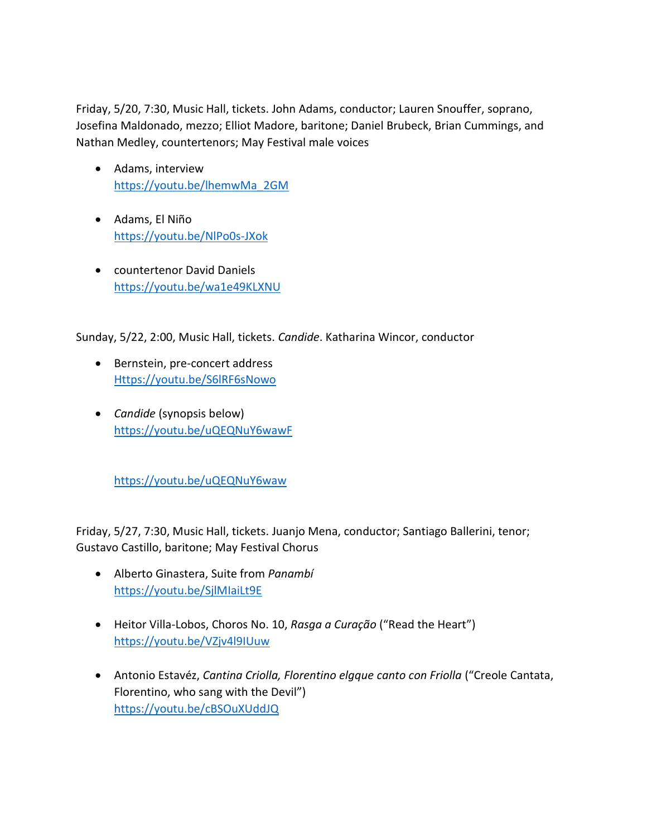Friday, 5/20, 7:30, Music Hall, tickets. John Adams, conductor; Lauren Snouffer, soprano, Josefina Maldonado, mezzo; Elliot Madore, baritone; Daniel Brubeck, Brian Cummings, and Nathan Medley, countertenors; May Festival male voices

- Adams, interview [https://youtu.be/lhemwMa\\_2GM](https://youtu.be/lhemwMa_2GM)
- Adams, El Niño <https://youtu.be/NlPo0s-JXok>
- countertenor David Daniels <https://youtu.be/wa1e49KLXNU>

Sunday, 5/22, 2:00, Music Hall, tickets. *Candide*. Katharina Wincor, conductor

- Bernstein, pre-concert address [Https://youtu.be/S6lRF6sNowo](https://youtu.be/S6lRF6sNowo)
- *Candide* (synopsis below) [https://youtu.be/uQEQNuY6wawF](https://youtu.be/uQEQNuY6waw)

<https://youtu.be/uQEQNuY6waw>

Friday, 5/27, 7:30, Music Hall, tickets. Juanjo Mena, conductor; Santiago Ballerini, tenor; Gustavo Castillo, baritone; May Festival Chorus

- Alberto Ginastera, Suite from *Panambí* <https://youtu.be/SjlMIaiLt9E>
- Heitor Villa-Lobos, Choros No. 10, *Rasga a Curação* ("Read the Heart") <https://youtu.be/VZjv4l9IUuw>
- Antonio Estavéz, *Cantina Criolla, Florentino elgque canto con Friolla* ("Creole Cantata, Florentino, who sang with the Devil") <https://youtu.be/cBSOuXUddJQ>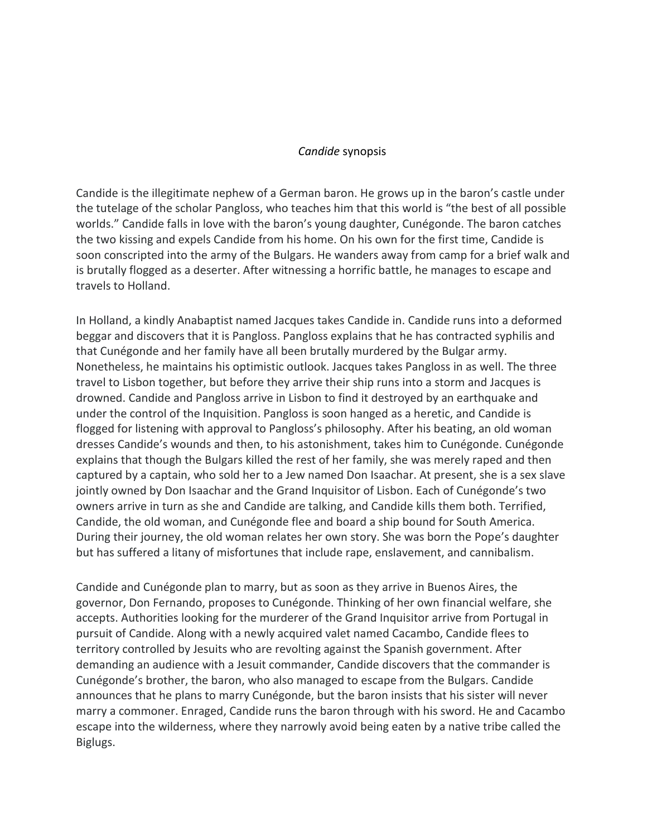### *Candide* synopsis

Candide is the illegitimate nephew of a German baron. He grows up in the baron's castle under the tutelage of the scholar Pangloss, who teaches him that this world is "the best of all possible worlds." Candide falls in love with the baron's young daughter, Cunégonde. The baron catches the two kissing and expels Candide from his home. On his own for the first time, Candide is soon conscripted into the army of the Bulgars. He wanders away from camp for a brief walk and is brutally flogged as a deserter. After witnessing a horrific battle, he manages to escape and travels to Holland.

In Holland, a kindly Anabaptist named Jacques takes Candide in. Candide runs into a deformed beggar and discovers that it is Pangloss. Pangloss explains that he has contracted syphilis and that Cunégonde and her family have all been brutally murdered by the Bulgar army. Nonetheless, he maintains his optimistic outlook. Jacques takes Pangloss in as well. The three travel to Lisbon together, but before they arrive their ship runs into a storm and Jacques is drowned. Candide and Pangloss arrive in Lisbon to find it destroyed by an earthquake and under the control of the Inquisition. Pangloss is soon hanged as a heretic, and Candide is flogged for listening with approval to Pangloss's philosophy. After his beating, an old woman dresses Candide's wounds and then, to his astonishment, takes him to Cunégonde. Cunégonde explains that though the Bulgars killed the rest of her family, she was merely raped and then captured by a captain, who sold her to a Jew named Don Isaachar. At present, she is a sex slave jointly owned by Don Isaachar and the Grand Inquisitor of Lisbon. Each of Cunégonde's two owners arrive in turn as she and Candide are talking, and Candide kills them both. Terrified, Candide, the old woman, and Cunégonde flee and board a ship bound for South America. During their journey, the old woman relates her own story. She was born the Pope's daughter but has suffered a litany of misfortunes that include rape, enslavement, and cannibalism.

Candide and Cunégonde plan to marry, but as soon as they arrive in Buenos Aires, the governor, Don Fernando, proposes to Cunégonde. Thinking of her own financial welfare, she accepts. Authorities looking for the murderer of the Grand Inquisitor arrive from Portugal in pursuit of Candide. Along with a newly acquired valet named Cacambo, Candide flees to territory controlled by Jesuits who are revolting against the Spanish government. After demanding an audience with a Jesuit commander, Candide discovers that the commander is Cunégonde's brother, the baron, who also managed to escape from the Bulgars. Candide announces that he plans to marry Cunégonde, but the baron insists that his sister will never marry a commoner. Enraged, Candide runs the baron through with his sword. He and Cacambo escape into the wilderness, where they narrowly avoid being eaten by a native tribe called the Biglugs.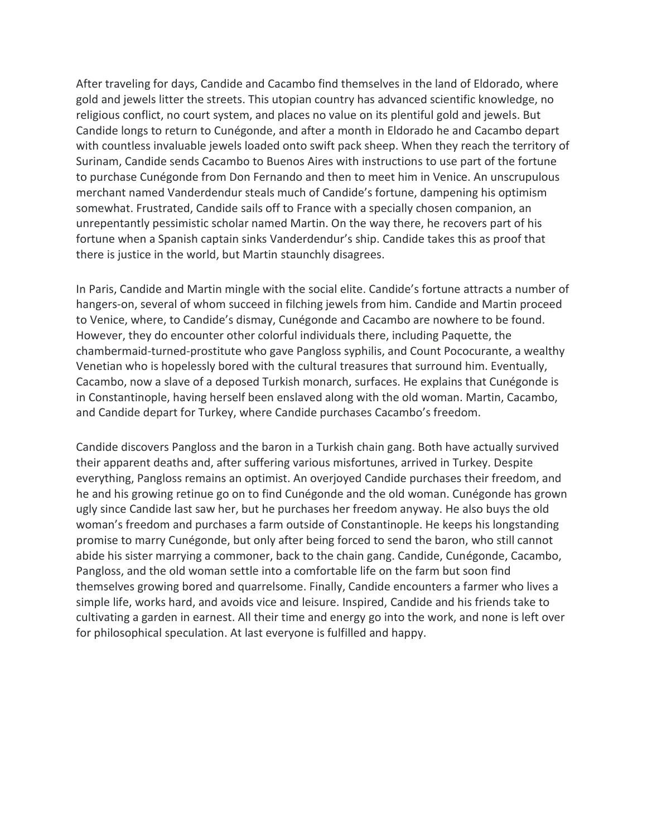After traveling for days, Candide and Cacambo find themselves in the land of Eldorado, where gold and jewels litter the streets. This utopian country has advanced scientific knowledge, no religious conflict, no court system, and places no value on its plentiful gold and jewels. But Candide longs to return to Cunégonde, and after a month in Eldorado he and Cacambo depart with countless invaluable jewels loaded onto swift pack sheep. When they reach the territory of Surinam, Candide sends Cacambo to Buenos Aires with instructions to use part of the fortune to purchase Cunégonde from Don Fernando and then to meet him in Venice. An unscrupulous merchant named Vanderdendur steals much of Candide's fortune, dampening his optimism somewhat. Frustrated, Candide sails off to France with a specially chosen companion, an unrepentantly pessimistic scholar named Martin. On the way there, he recovers part of his fortune when a Spanish captain sinks Vanderdendur's ship. Candide takes this as proof that there is justice in the world, but Martin staunchly disagrees.

In Paris, Candide and Martin mingle with the social elite. Candide's fortune attracts a number of hangers-on, several of whom succeed in filching jewels from him. Candide and Martin proceed to Venice, where, to Candide's dismay, Cunégonde and Cacambo are nowhere to be found. However, they do encounter other colorful individuals there, including Paquette, the chambermaid-turned-prostitute who gave Pangloss syphilis, and Count Pococurante, a wealthy Venetian who is hopelessly bored with the cultural treasures that surround him. Eventually, Cacambo, now a slave of a deposed Turkish monarch, surfaces. He explains that Cunégonde is in Constantinople, having herself been enslaved along with the old woman. Martin, Cacambo, and Candide depart for Turkey, where Candide purchases Cacambo's freedom.

Candide discovers Pangloss and the baron in a Turkish chain gang. Both have actually survived their apparent deaths and, after suffering various misfortunes, arrived in Turkey. Despite everything, Pangloss remains an optimist. An overjoyed Candide purchases their freedom, and he and his growing retinue go on to find Cunégonde and the old woman. Cunégonde has grown ugly since Candide last saw her, but he purchases her freedom anyway. He also buys the old woman's freedom and purchases a farm outside of Constantinople. He keeps his longstanding promise to marry Cunégonde, but only after being forced to send the baron, who still cannot abide his sister marrying a commoner, back to the chain gang. Candide, Cunégonde, Cacambo, Pangloss, and the old woman settle into a comfortable life on the farm but soon find themselves growing bored and quarrelsome. Finally, Candide encounters a farmer who lives a simple life, works hard, and avoids vice and leisure. Inspired, Candide and his friends take to cultivating a garden in earnest. All their time and energy go into the work, and none is left over for philosophical speculation. At last everyone is fulfilled and happy.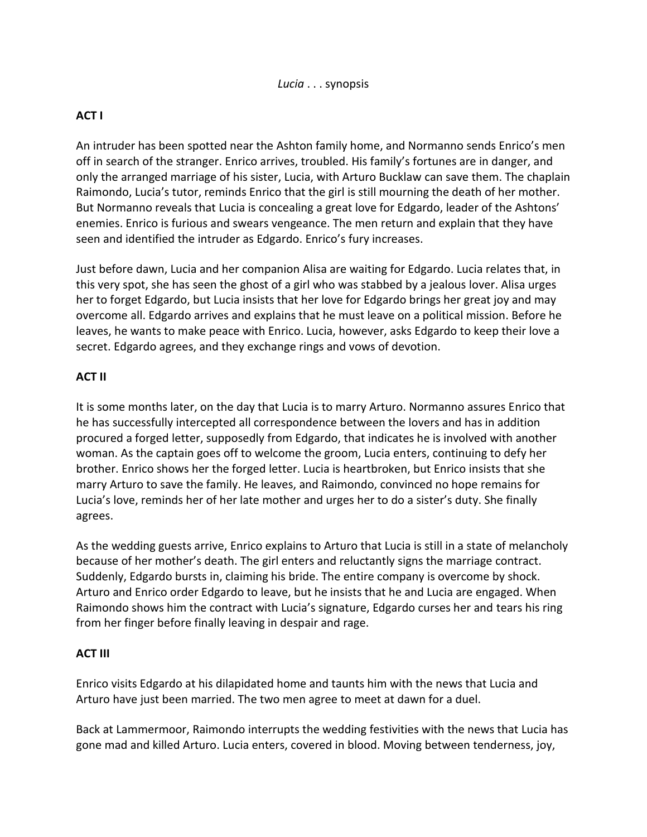# **ACT I**

An intruder has been spotted near the Ashton family home, and Normanno sends Enrico's men off in search of the stranger. Enrico arrives, troubled. His family's fortunes are in danger, and only the arranged marriage of his sister, Lucia, with Arturo Bucklaw can save them. The chaplain Raimondo, Lucia's tutor, reminds Enrico that the girl is still mourning the death of her mother. But Normanno reveals that Lucia is concealing a great love for Edgardo, leader of the Ashtons' enemies. Enrico is furious and swears vengeance. The men return and explain that they have seen and identified the intruder as Edgardo. Enrico's fury increases.

Just before dawn, Lucia and her companion Alisa are waiting for Edgardo. Lucia relates that, in this very spot, she has seen the ghost of a girl who was stabbed by a jealous lover. Alisa urges her to forget Edgardo, but Lucia insists that her love for Edgardo brings her great joy and may overcome all. Edgardo arrives and explains that he must leave on a political mission. Before he leaves, he wants to make peace with Enrico. Lucia, however, asks Edgardo to keep their love a secret. Edgardo agrees, and they exchange rings and vows of devotion.

## **ACT II**

It is some months later, on the day that Lucia is to marry Arturo. Normanno assures Enrico that he has successfully intercepted all correspondence between the lovers and has in addition procured a forged letter, supposedly from Edgardo, that indicates he is involved with another woman. As the captain goes off to welcome the groom, Lucia enters, continuing to defy her brother. Enrico shows her the forged letter. Lucia is heartbroken, but Enrico insists that she marry Arturo to save the family. He leaves, and Raimondo, convinced no hope remains for Lucia's love, reminds her of her late mother and urges her to do a sister's duty. She finally agrees.

As the wedding guests arrive, Enrico explains to Arturo that Lucia is still in a state of melancholy because of her mother's death. The girl enters and reluctantly signs the marriage contract. Suddenly, Edgardo bursts in, claiming his bride. The entire company is overcome by shock. Arturo and Enrico order Edgardo to leave, but he insists that he and Lucia are engaged. When Raimondo shows him the contract with Lucia's signature, Edgardo curses her and tears his ring from her finger before finally leaving in despair and rage.

## **ACT III**

Enrico visits Edgardo at his dilapidated home and taunts him with the news that Lucia and Arturo have just been married. The two men agree to meet at dawn for a duel.

Back at Lammermoor, Raimondo interrupts the wedding festivities with the news that Lucia has gone mad and killed Arturo. Lucia enters, covered in blood. Moving between tenderness, joy,